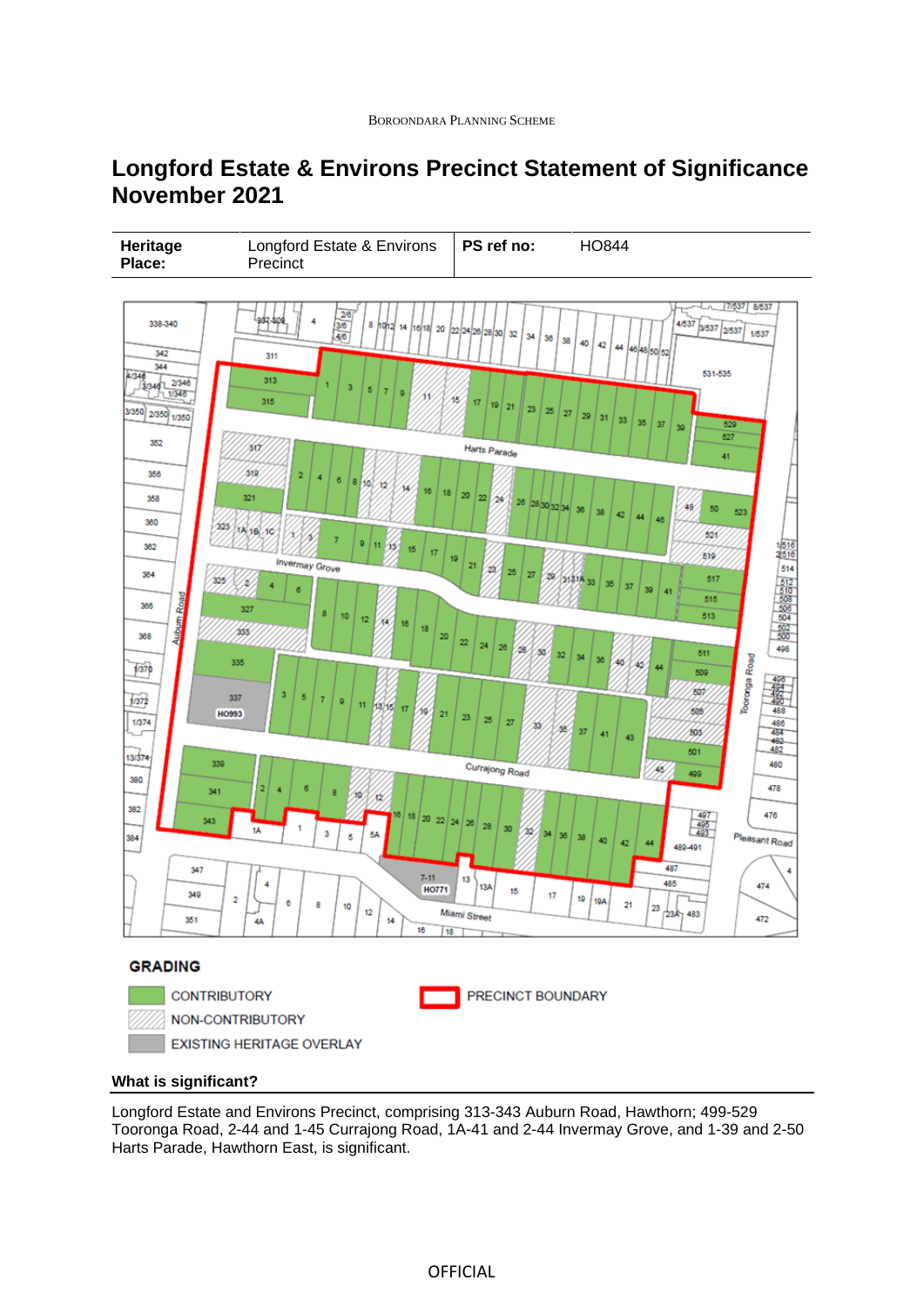# **Longford Estate & Environs Precinct Statement of Significance November 2021**



# **What is significant?**

Longford Estate and Environs Precinct, comprising 313-343 Auburn Road, Hawthorn; 499-529 Tooronga Road, 2-44 and 1-45 Currajong Road, 1A-41 and 2-44 Invermay Grove, and 1-39 and 2-50 Harts Parade, Hawthorn East, is significant.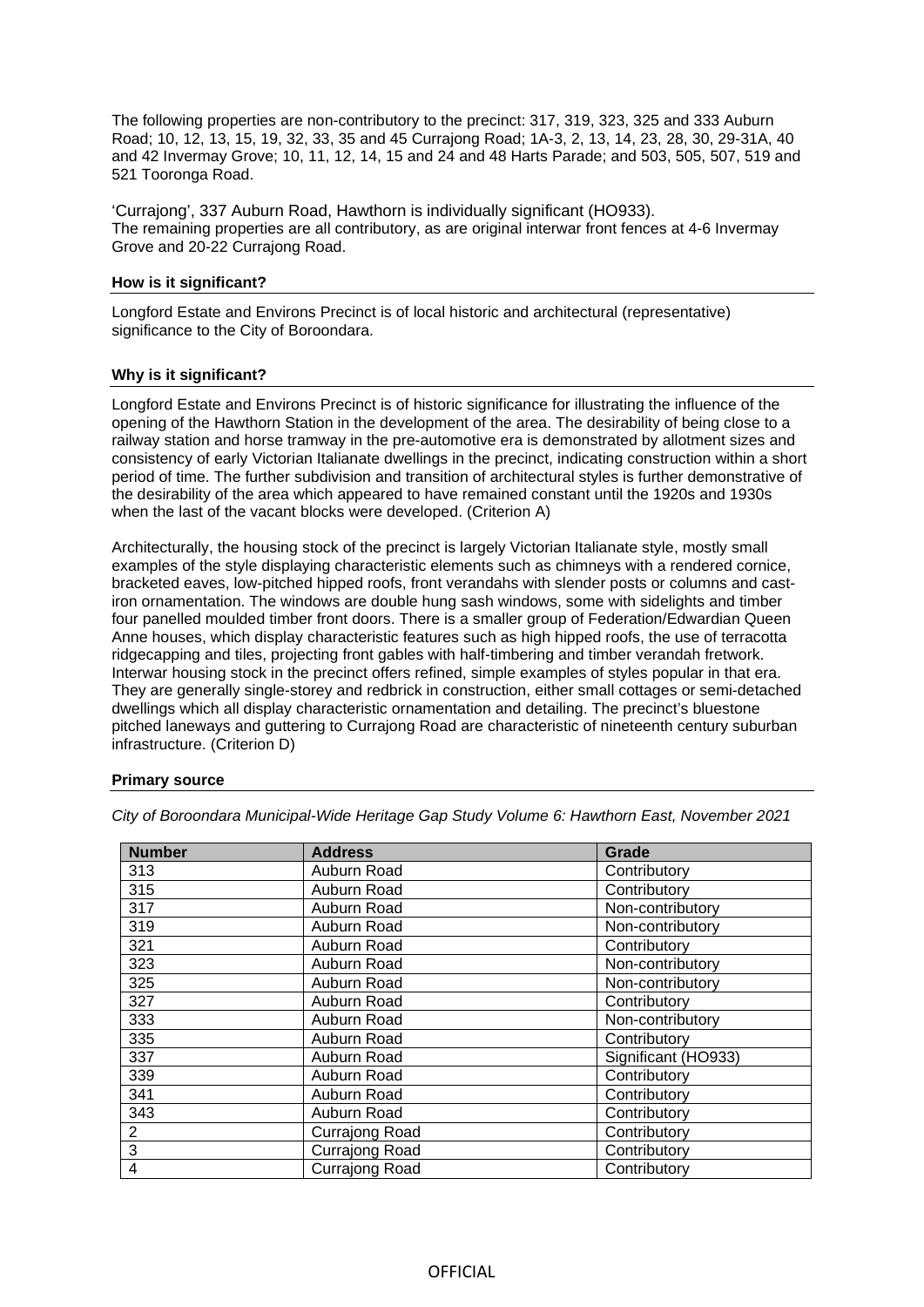The following properties are non-contributory to the precinct: 317, 319, 323, 325 and 333 Auburn Road; 10, 12, 13, 15, 19, 32, 33, 35 and 45 Currajong Road; 1A-3, 2, 13, 14, 23, 28, 30, 29-31A, 40 and 42 Invermay Grove; 10, 11, 12, 14, 15 and 24 and 48 Harts Parade; and 503, 505, 507, 519 and 521 Tooronga Road.

'Currajong', 337 Auburn Road, Hawthorn is individually significant (HO933). The remaining properties are all contributory, as are original interwar front fences at 4-6 Invermay Grove and 20-22 Currajong Road.

#### **How is it significant?**

Longford Estate and Environs Precinct is of local historic and architectural (representative) significance to the City of Boroondara.

## **Why is it significant?**

Longford Estate and Environs Precinct is of historic significance for illustrating the influence of the opening of the Hawthorn Station in the development of the area. The desirability of being close to a railway station and horse tramway in the pre-automotive era is demonstrated by allotment sizes and consistency of early Victorian Italianate dwellings in the precinct, indicating construction within a short period of time. The further subdivision and transition of architectural styles is further demonstrative of the desirability of the area which appeared to have remained constant until the 1920s and 1930s when the last of the vacant blocks were developed. (Criterion A)

Architecturally, the housing stock of the precinct is largely Victorian Italianate style, mostly small examples of the style displaying characteristic elements such as chimneys with a rendered cornice, bracketed eaves, low-pitched hipped roofs, front verandahs with slender posts or columns and castiron ornamentation. The windows are double hung sash windows, some with sidelights and timber four panelled moulded timber front doors. There is a smaller group of Federation/Edwardian Queen Anne houses, which display characteristic features such as high hipped roofs, the use of terracotta ridgecapping and tiles, projecting front gables with half-timbering and timber verandah fretwork. Interwar housing stock in the precinct offers refined, simple examples of styles popular in that era. They are generally single-storey and redbrick in construction, either small cottages or semi-detached dwellings which all display characteristic ornamentation and detailing. The precinct's bluestone pitched laneways and guttering to Currajong Road are characteristic of nineteenth century suburban infrastructure. (Criterion D)

## **Primary source**

| <b>Number</b> | <b>Address</b> | Grade               |
|---------------|----------------|---------------------|
| 313           | Auburn Road    | Contributory        |
| 315           | Auburn Road    | Contributory        |
| 317           | Auburn Road    | Non-contributory    |
| 319           | Auburn Road    | Non-contributory    |
| 321           | Auburn Road    | Contributory        |
| 323           | Auburn Road    | Non-contributory    |
| 325           | Auburn Road    | Non-contributory    |
| 327           | Auburn Road    | Contributory        |
| 333           | Auburn Road    | Non-contributory    |
| 335           | Auburn Road    | Contributory        |
| 337           | Auburn Road    | Significant (HO933) |
| 339           | Auburn Road    | Contributory        |
| 341           | Auburn Road    | Contributory        |
| 343           | Auburn Road    | Contributory        |
| 2             | Currajong Road | Contributory        |
| 3             | Currajong Road | Contributory        |
| 4             | Currajong Road | Contributory        |

*City of Boroondara Municipal-Wide Heritage Gap Study Volume 6: Hawthorn East, November 2021*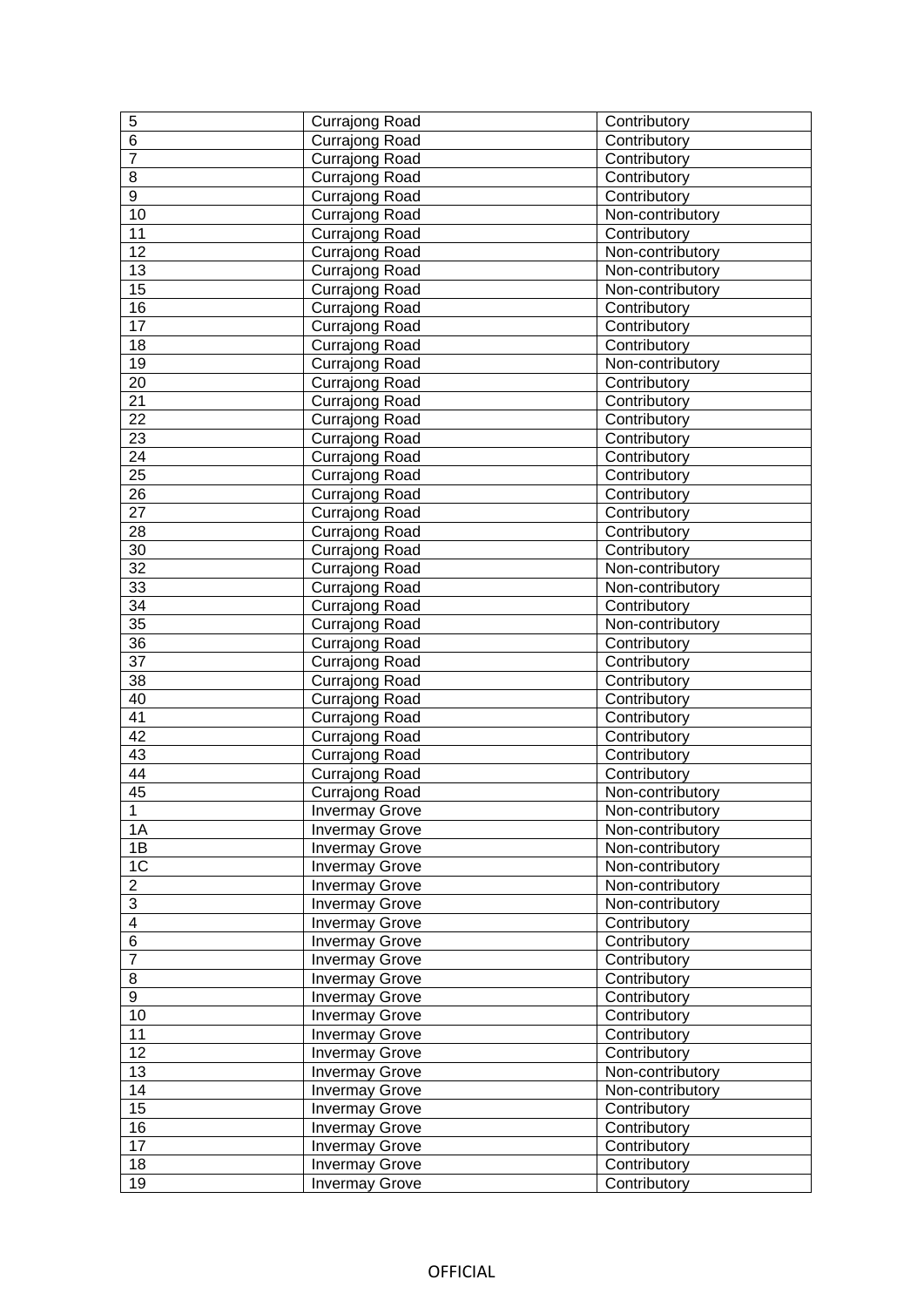| 5                       | <b>Currajong Road</b>                          | Contributory                 |
|-------------------------|------------------------------------------------|------------------------------|
| $\overline{6}$          | Currajong Road                                 | Contributory                 |
| $\overline{7}$          | Currajong Road                                 | Contributory                 |
| 8                       | Currajong Road                                 | Contributory                 |
| $\overline{9}$          | Currajong Road                                 | Contributory                 |
| 10                      | Currajong Road                                 | Non-contributory             |
| 11                      | Currajong Road                                 | Contributory                 |
| 12                      | Currajong Road                                 | Non-contributory             |
| $\overline{13}$         | Currajong Road                                 | Non-contributory             |
| 15                      | Currajong Road                                 | Non-contributory             |
| $\overline{16}$         | Currajong Road                                 | Contributory                 |
| $\overline{17}$         | Currajong Road                                 | Contributory                 |
| 18                      | Currajong Road                                 | Contributory                 |
| 19                      | Currajong Road                                 | Non-contributory             |
| 20                      | Currajong Road                                 | Contributory                 |
| 21                      | Currajong Road                                 | Contributory                 |
| 22                      | Currajong Road                                 | Contributory                 |
| $\overline{23}$         | Currajong Road                                 | Contributory                 |
| $\overline{24}$         | Currajong Road                                 | Contributory                 |
| $\overline{25}$         | <b>Currajong Road</b>                          | Contributory                 |
| $\overline{26}$         | Currajong Road                                 | Contributory                 |
| $\overline{27}$         | Currajong Road                                 | Contributory                 |
| 28                      | Currajong Road                                 | Contributory                 |
| 30                      | <b>Currajong Road</b>                          | Contributory                 |
| $\overline{32}$         | Currajong Road                                 | Non-contributory             |
| 33                      | Currajong Road                                 | Non-contributory             |
| 34                      | Currajong Road                                 | Contributory                 |
| $\overline{35}$         | Currajong Road                                 | Non-contributory             |
| $\overline{36}$         | Currajong Road                                 | Contributory                 |
| $\overline{37}$         | Currajong Road                                 | Contributory                 |
| 38                      | Currajong Road                                 | Contributory                 |
| 40                      | Currajong Road                                 | Contributory                 |
| 41                      | <b>Currajong Road</b>                          | Contributory                 |
| 42                      | Currajong Road                                 | Contributory                 |
| $\overline{43}$         | Currajong Road                                 | Contributory                 |
| 44                      | Currajong Road                                 | Contributory                 |
| $\overline{45}$         | <b>Currajong Road</b>                          | Non-contributory             |
| $\overline{11}$         | <b>Invermay Grove</b>                          | Non-contributory             |
| 1A                      | <b>Invermay Grove</b>                          | Non-contributory             |
| 1B                      | <b>Invermay Grove</b>                          | Non-contributory             |
| $1\overline{C}$         | <b>Invermay Grove</b>                          | Non-contributory             |
| $\overline{2}$          | <b>Invermay Grove</b>                          | Non-contributory             |
| $\overline{3}$          | <b>Invermay Grove</b>                          | Non-contributory             |
| $\overline{\mathbf{4}}$ | <b>Invermay Grove</b>                          | Contributory                 |
| $\,6$                   | <b>Invermay Grove</b>                          | Contributory                 |
| $\overline{7}$          | <b>Invermay Grove</b>                          | Contributory                 |
| $\bf 8$                 |                                                |                              |
| $\overline{9}$          | <b>Invermay Grove</b>                          | Contributory                 |
|                         | <b>Invermay Grove</b>                          | Contributory                 |
| 10                      | <b>Invermay Grove</b>                          | Contributory                 |
| 11                      | <b>Invermay Grove</b>                          | Contributory                 |
| 12                      | <b>Invermay Grove</b>                          | Contributory                 |
| 13                      | <b>Invermay Grove</b>                          | Non-contributory             |
| 14                      | <b>Invermay Grove</b>                          | Non-contributory             |
| 15                      | <b>Invermay Grove</b>                          | Contributory                 |
| 16                      | <b>Invermay Grove</b>                          | Contributory                 |
| 17                      | <b>Invermay Grove</b>                          | Contributory                 |
| 18<br>19                | <b>Invermay Grove</b><br><b>Invermay Grove</b> | Contributory<br>Contributory |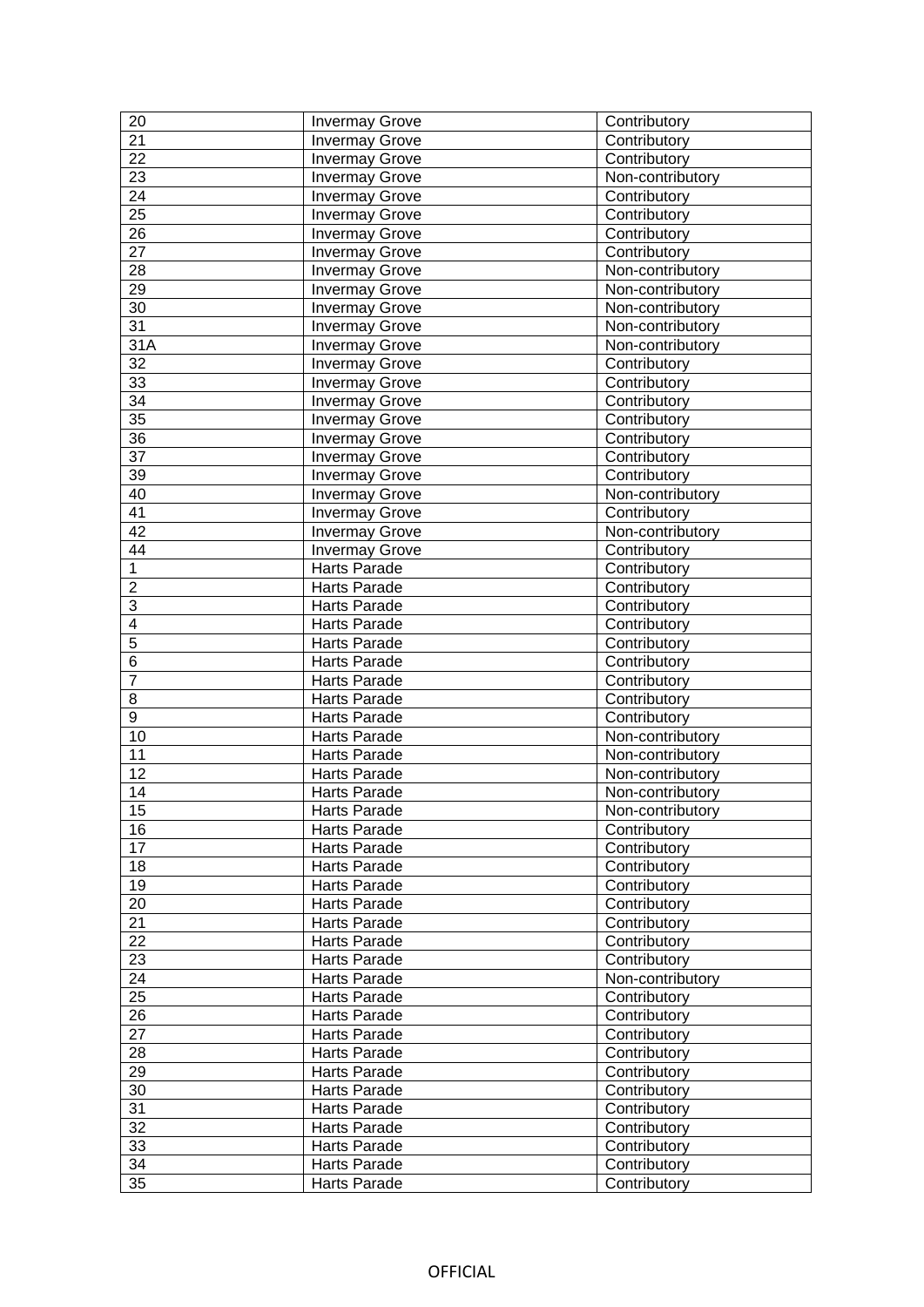| 20                      | <b>Invermay Grove</b>        | Contributory                 |
|-------------------------|------------------------------|------------------------------|
| $\overline{21}$         | <b>Invermay Grove</b>        | Contributory                 |
| 22                      | <b>Invermay Grove</b>        | Contributory                 |
| $\overline{23}$         | <b>Invermay Grove</b>        | Non-contributory             |
| $\overline{24}$         | <b>Invermay Grove</b>        | Contributory                 |
| $\overline{25}$         | <b>Invermay Grove</b>        | Contributory                 |
| $\overline{26}$         | <b>Invermay Grove</b>        | Contributory                 |
| $\overline{27}$         | <b>Invermay Grove</b>        | Contributory                 |
| 28                      | <b>Invermay Grove</b>        | Non-contributory             |
| 29                      | <b>Invermay Grove</b>        | Non-contributory             |
| $\overline{30}$         | <b>Invermay Grove</b>        | Non-contributory             |
| $\overline{31}$         | <b>Invermay Grove</b>        | Non-contributory             |
| 31A                     | <b>Invermay Grove</b>        | Non-contributory             |
| $\overline{32}$         | <b>Invermay Grove</b>        | Contributory                 |
| 33                      | <b>Invermay Grove</b>        | Contributory                 |
| $\overline{34}$         | <b>Invermay Grove</b>        | Contributory                 |
| $\overline{35}$         | <b>Invermay Grove</b>        | Contributory                 |
| $\overline{36}$         | <b>Invermay Grove</b>        | Contributory                 |
| $\overline{37}$         | <b>Invermay Grove</b>        | Contributory                 |
| $\overline{39}$         | <b>Invermay Grove</b>        | Contributory                 |
| 40                      | <b>Invermay Grove</b>        | Non-contributory             |
| 41                      | <b>Invermay Grove</b>        | Contributory                 |
| 42                      | <b>Invermay Grove</b>        | Non-contributory             |
| 44                      | <b>Invermay Grove</b>        | Contributory                 |
| $\overline{1}$          | <b>Harts Parade</b>          | Contributory                 |
| $\overline{2}$          | Harts Parade                 | Contributory                 |
| $\overline{3}$          | Harts Parade                 | Contributory                 |
| $\overline{\mathbf{4}}$ | Harts Parade                 | Contributory                 |
| $\overline{5}$          | Harts Parade                 | Contributory                 |
| $\overline{6}$          | Harts Parade                 | Contributory                 |
| $\overline{7}$          | Harts Parade                 | Contributory                 |
| 8                       | Harts Parade                 | Contributory                 |
| $\overline{9}$          | Harts Parade                 | Contributory                 |
| 10                      | Harts Parade                 | Non-contributory             |
| 11                      | Harts Parade                 | Non-contributory             |
| 12                      | Harts Parade                 | Non-contributory             |
| 14                      | Harts Parade                 | Non-contributory             |
| 15                      | Harts Parade                 | Non-contributory             |
| 16                      | Harts Parade                 | Contributory                 |
| $1\overline{7}$         | <b>Harts Parade</b>          | Contributory                 |
| 18                      | Harts Parade                 | Contributory                 |
| 19                      | Harts Parade                 | Contributory                 |
| 20                      | Harts Parade                 | Contributory                 |
| $\overline{21}$         | Harts Parade                 | Contributory                 |
| 22                      | Harts Parade                 | Contributory                 |
| 23                      | Harts Parade                 | Contributory                 |
| 24                      | Harts Parade                 | Non-contributory             |
| $\overline{25}$         | Harts Parade                 | Contributory                 |
| $\overline{26}$         | Harts Parade                 | Contributory                 |
| 27                      | Harts Parade                 | Contributory                 |
| 28                      | Harts Parade                 | Contributory                 |
| 29                      | Harts Parade                 | Contributory                 |
| 30                      | Harts Parade                 | Contributory                 |
| 31                      | Harts Parade                 | Contributory                 |
| $\overline{32}$         | Harts Parade                 | Contributory                 |
| 33                      |                              |                              |
|                         | Harts Parade                 | Contributory                 |
| 34<br>$\overline{35}$   | Harts Parade<br>Harts Parade | Contributory<br>Contributory |